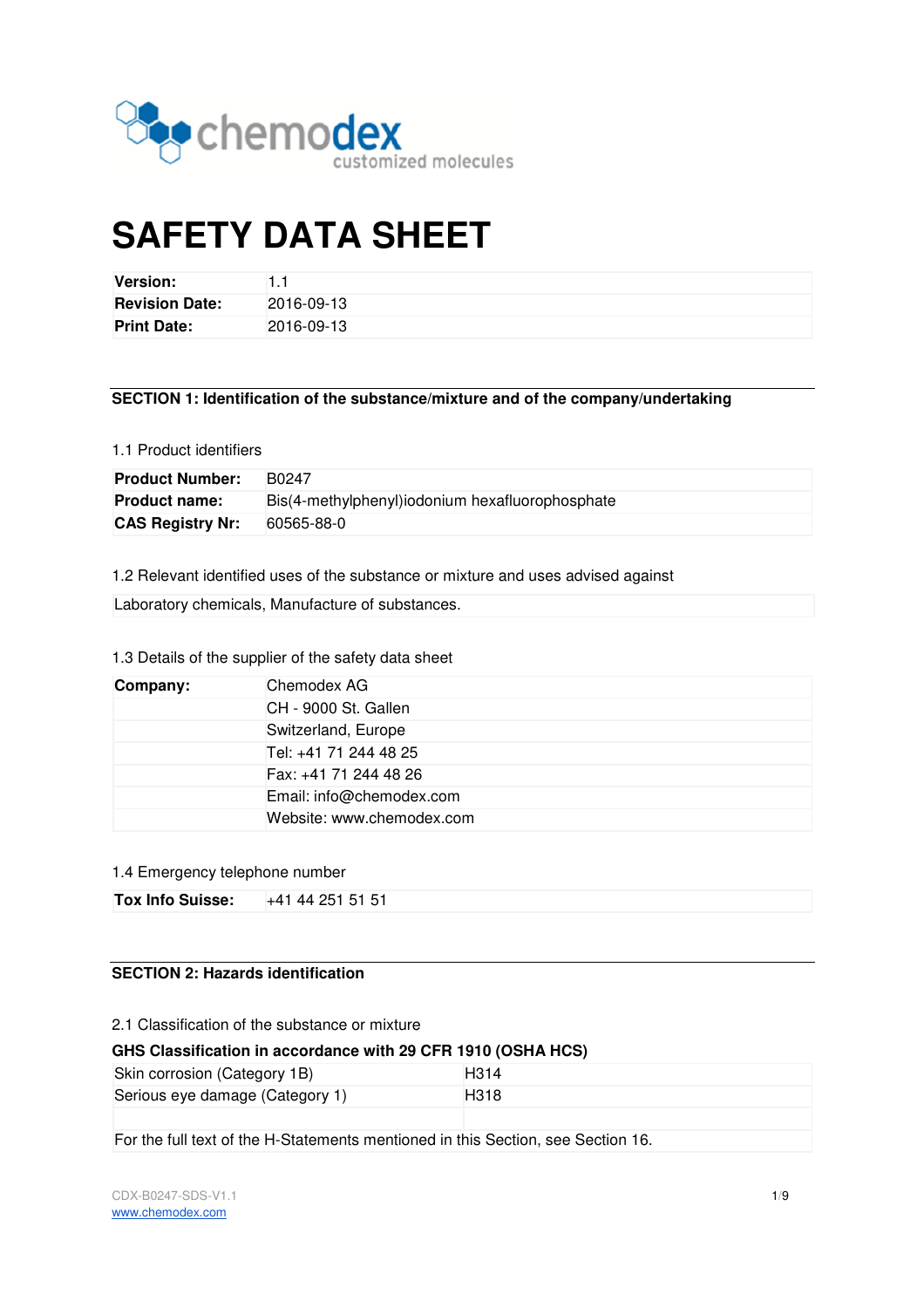

# **SAFETY DATA SHEET**

| <b>Version:</b>       |            |
|-----------------------|------------|
| <b>Revision Date:</b> | 2016-09-13 |
| <b>Print Date:</b>    | 2016-09-13 |

# **SECTION 1: Identification of the substance/mixture and of the company/undertaking**

#### 1.1 Product identifiers

| <b>Product Number:</b>  | B0247                                           |
|-------------------------|-------------------------------------------------|
| <b>Product name:</b>    | Bis(4-methylphenyl)iodonium hexafluorophosphate |
| <b>CAS Registry Nr:</b> | 60565-88-0                                      |

1.2 Relevant identified uses of the substance or mixture and uses advised against

Laboratory chemicals, Manufacture of substances.

# 1.3 Details of the supplier of the safety data sheet

| Company: | Chemodex AG               |
|----------|---------------------------|
|          | CH - 9000 St. Gallen      |
|          | Switzerland, Europe       |
|          | Tel: +41 71 244 48 25     |
|          | Fax: +41 71 244 48 26     |
|          | Email: info@chemodex.com  |
|          | Website: www.chemodex.com |

#### 1.4 Emergency telephone number

| Tox Info Suisse: | $+41$ 44 251 51 51 |
|------------------|--------------------|

# **SECTION 2: Hazards identification**

2.1 Classification of the substance or mixture

#### **GHS Classification in accordance with 29 CFR 1910 (OSHA HCS)**

| Skin corrosion (Category 1B)    | H <sub>3</sub> 14 |
|---------------------------------|-------------------|
| Serious eye damage (Category 1) | H318              |
|                                 |                   |

For the full text of the H-Statements mentioned in this Section, see Section 16.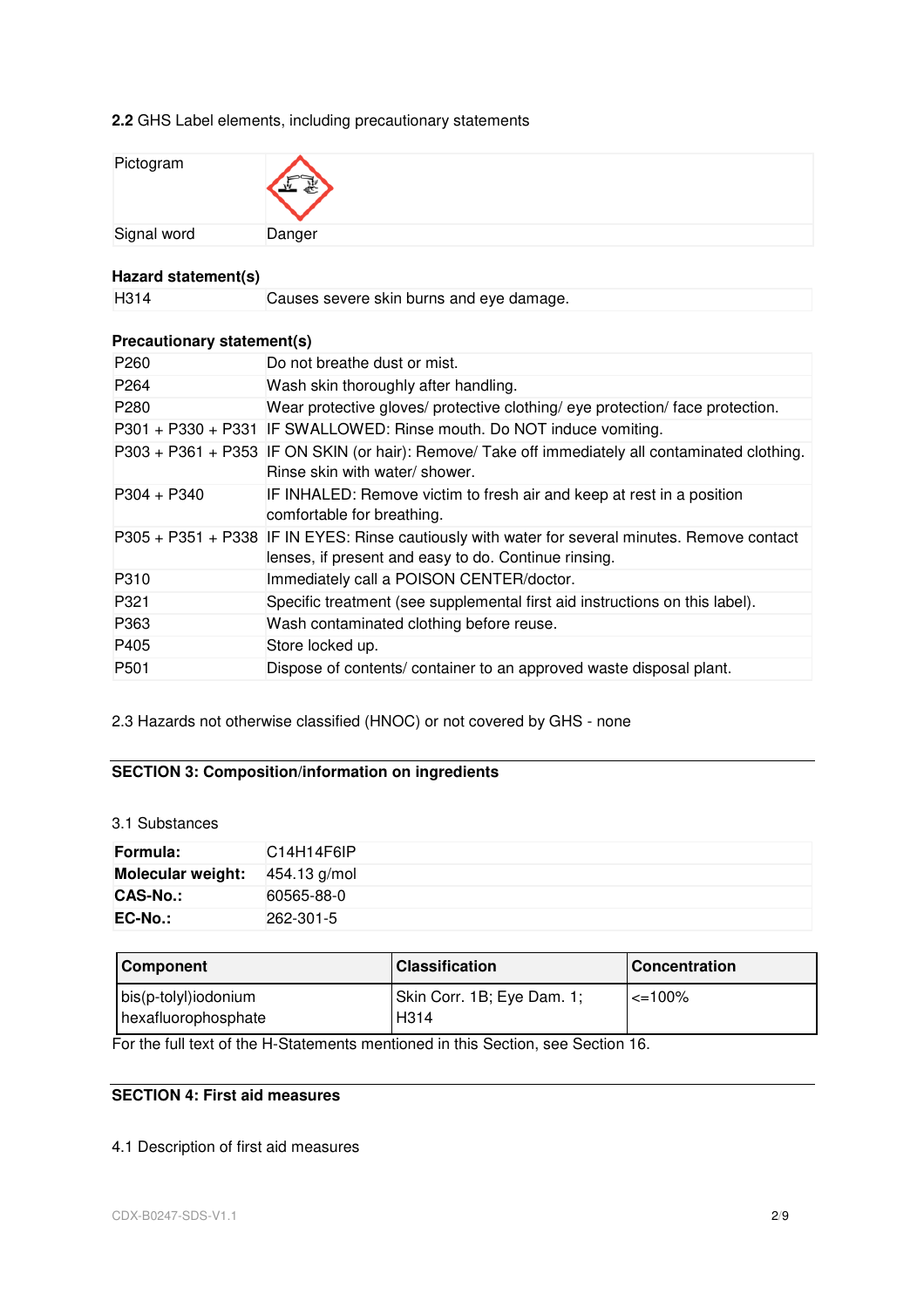**2.2** GHS Label elements, including precautionary statements

| Pictogram   | $\overline{\phantom{a}}$ |
|-------------|--------------------------|
| Signal word | Danger                   |

# **Hazard statement(s)**

H314 Causes severe skin burns and eye damage.

# **Precautionary statement(s)**

| P260             | Do not breathe dust or mist.                                                                                                                           |
|------------------|--------------------------------------------------------------------------------------------------------------------------------------------------------|
| P <sub>264</sub> | Wash skin thoroughly after handling.                                                                                                                   |
| P280             | Wear protective gloves/ protective clothing/ eye protection/ face protection.                                                                          |
|                  | P301 + P330 + P331 IF SWALLOWED: Rinse mouth. Do NOT induce vomiting.                                                                                  |
|                  | P303 + P361 + P353 IF ON SKIN (or hair): Remove/ Take off immediately all contaminated clothing.<br>Rinse skin with water/ shower.                     |
| $P304 + P340$    | IF INHALED: Remove victim to fresh air and keep at rest in a position<br>comfortable for breathing.                                                    |
|                  | P305 + P351 + P338 IF IN EYES: Rinse cautiously with water for several minutes. Remove contact<br>lenses, if present and easy to do. Continue rinsing. |
| P310             | Immediately call a POISON CENTER/doctor.                                                                                                               |
| P321             | Specific treatment (see supplemental first aid instructions on this label).                                                                            |
| P363             | Wash contaminated clothing before reuse.                                                                                                               |
| P405             | Store locked up.                                                                                                                                       |
| P <sub>501</sub> | Dispose of contents/container to an approved waste disposal plant.                                                                                     |

2.3 Hazards not otherwise classified (HNOC) or not covered by GHS - none

# **SECTION 3: Composition/information on ingredients**

## 3.1 Substances

| Formula:          | C14H14F6IP   |
|-------------------|--------------|
| Molecular weight: | 454.13 g/mol |
| <b>CAS-No.:</b>   | 60565-88-0   |
| EC-No.:           | 262-301-5    |

| <b>Component</b>                            | <b>Classification</b>                           | l Concentration |
|---------------------------------------------|-------------------------------------------------|-----------------|
| bis(p-tolyl)iodonium<br>hexafluorophosphate | Skin Corr. 1B; Eye Dam. 1;<br>H <sub>3</sub> 14 | $\leq$ 100%     |

For the full text of the H-Statements mentioned in this Section, see Section 16.

# **SECTION 4: First aid measures**

# 4.1 Description of first aid measures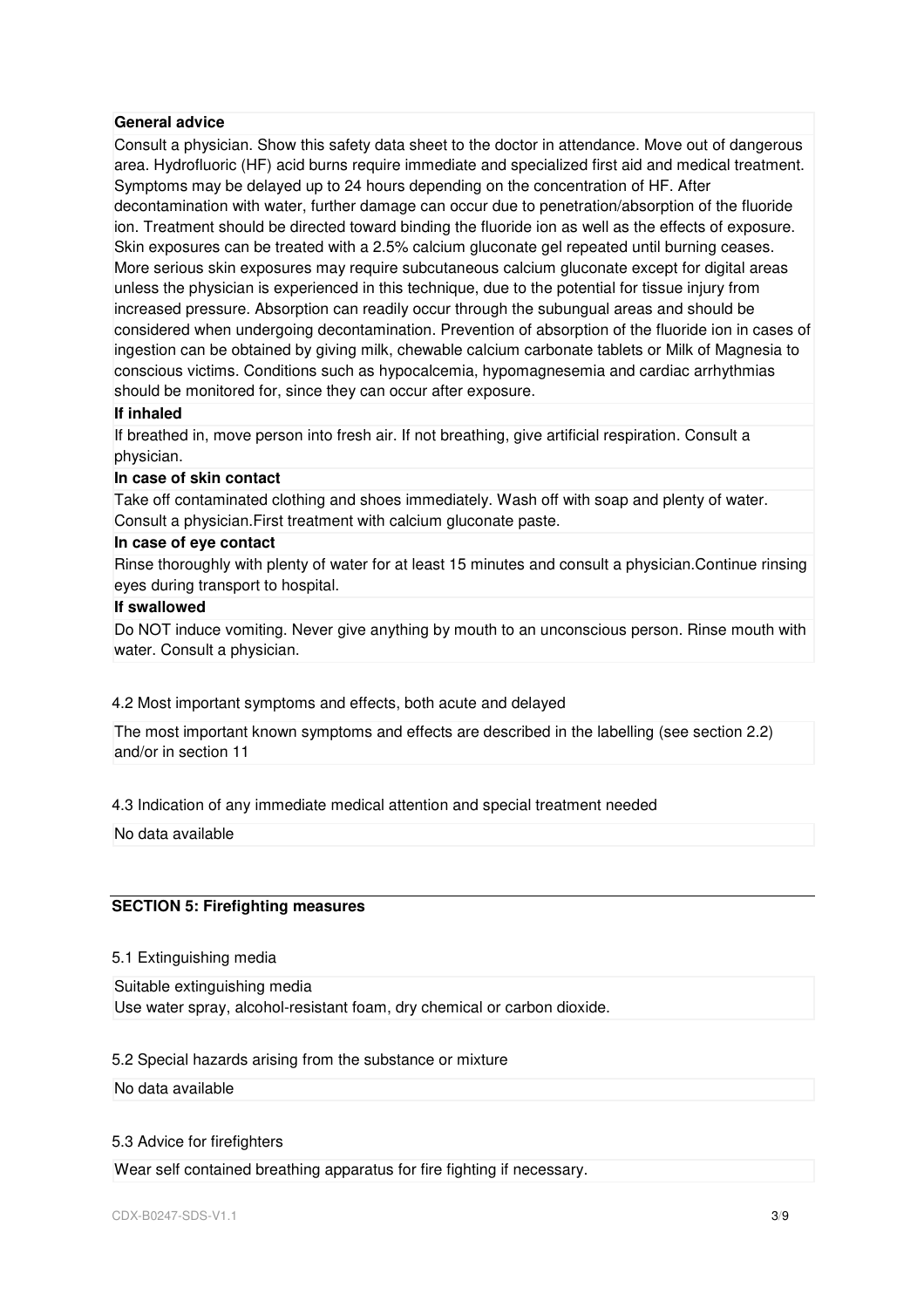#### **General advice**

Consult a physician. Show this safety data sheet to the doctor in attendance. Move out of dangerous area. Hydrofluoric (HF) acid burns require immediate and specialized first aid and medical treatment. Symptoms may be delayed up to 24 hours depending on the concentration of HF. After decontamination with water, further damage can occur due to penetration/absorption of the fluoride ion. Treatment should be directed toward binding the fluoride ion as well as the effects of exposure. Skin exposures can be treated with a 2.5% calcium gluconate gel repeated until burning ceases. More serious skin exposures may require subcutaneous calcium gluconate except for digital areas unless the physician is experienced in this technique, due to the potential for tissue injury from increased pressure. Absorption can readily occur through the subungual areas and should be considered when undergoing decontamination. Prevention of absorption of the fluoride ion in cases of ingestion can be obtained by giving milk, chewable calcium carbonate tablets or Milk of Magnesia to conscious victims. Conditions such as hypocalcemia, hypomagnesemia and cardiac arrhythmias should be monitored for, since they can occur after exposure.

#### **If inhaled**

If breathed in, move person into fresh air. If not breathing, give artificial respiration. Consult a physician.

#### **In case of skin contact**

Take off contaminated clothing and shoes immediately. Wash off with soap and plenty of water. Consult a physician.First treatment with calcium gluconate paste.

#### **In case of eye contact**

Rinse thoroughly with plenty of water for at least 15 minutes and consult a physician.Continue rinsing eyes during transport to hospital.

# **If swallowed**

Do NOT induce vomiting. Never give anything by mouth to an unconscious person. Rinse mouth with water. Consult a physician.

# 4.2 Most important symptoms and effects, both acute and delayed

The most important known symptoms and effects are described in the labelling (see section 2.2) and/or in section 11

#### 4.3 Indication of any immediate medical attention and special treatment needed

No data available

#### **SECTION 5: Firefighting measures**

#### 5.1 Extinguishing media

Suitable extinguishing media Use water spray, alcohol-resistant foam, dry chemical or carbon dioxide.

# 5.2 Special hazards arising from the substance or mixture

# No data available

# 5.3 Advice for firefighters

Wear self contained breathing apparatus for fire fighting if necessary.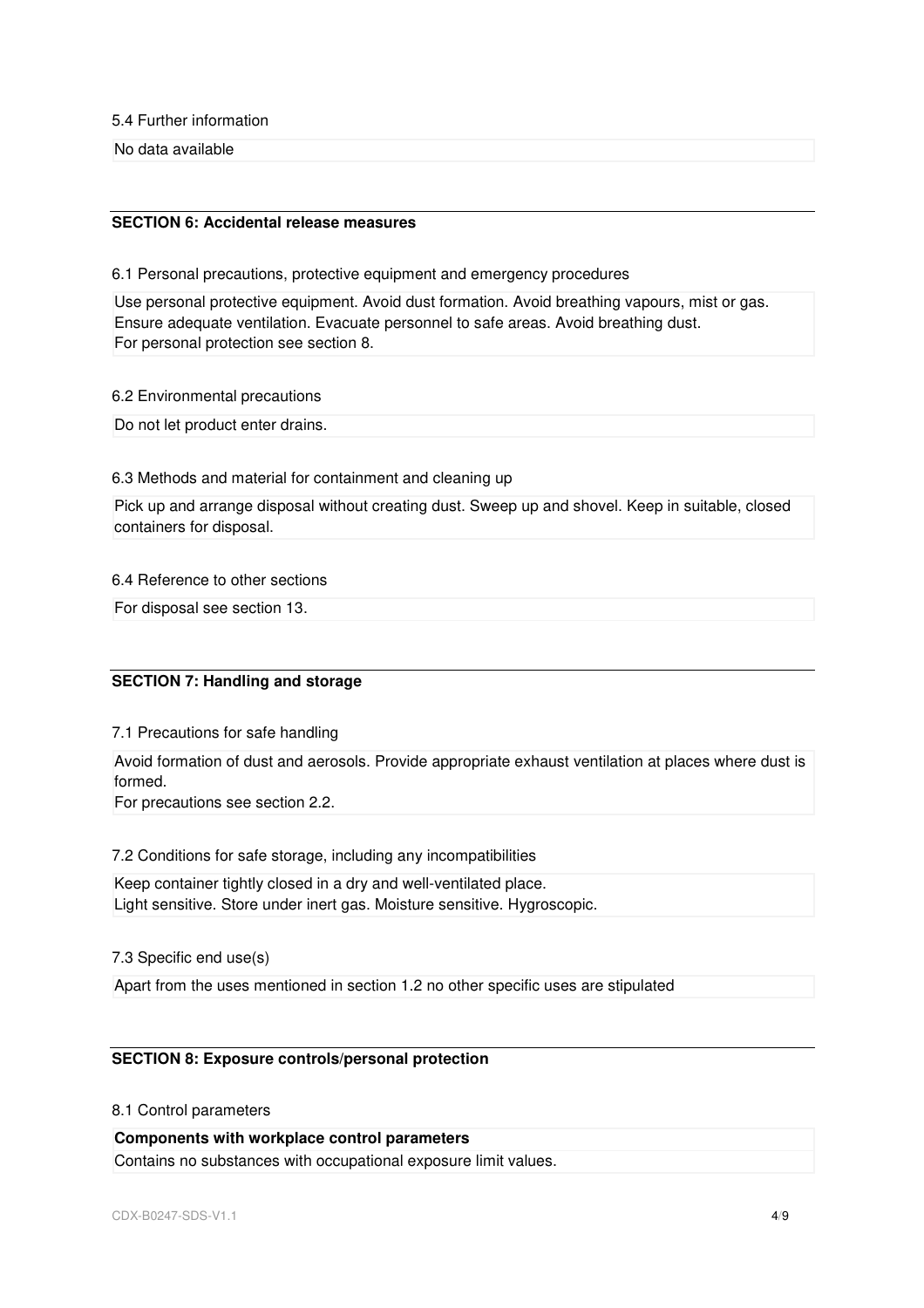5.4 Further information

No data available

# **SECTION 6: Accidental release measures**

6.1 Personal precautions, protective equipment and emergency procedures

Use personal protective equipment. Avoid dust formation. Avoid breathing vapours, mist or gas. Ensure adequate ventilation. Evacuate personnel to safe areas. Avoid breathing dust. For personal protection see section 8.

6.2 Environmental precautions

Do not let product enter drains.

# 6.3 Methods and material for containment and cleaning up

Pick up and arrange disposal without creating dust. Sweep up and shovel. Keep in suitable, closed containers for disposal.

## 6.4 Reference to other sections

For disposal see section 13.

# **SECTION 7: Handling and storage**

7.1 Precautions for safe handling

Avoid formation of dust and aerosols. Provide appropriate exhaust ventilation at places where dust is formed.

For precautions see section 2.2.

7.2 Conditions for safe storage, including any incompatibilities

Keep container tightly closed in a dry and well-ventilated place. Light sensitive. Store under inert gas. Moisture sensitive. Hygroscopic.

7.3 Specific end use(s)

Apart from the uses mentioned in section 1.2 no other specific uses are stipulated

# **SECTION 8: Exposure controls/personal protection**

# 8.1 Control parameters

**Components with workplace control parameters**  Contains no substances with occupational exposure limit values.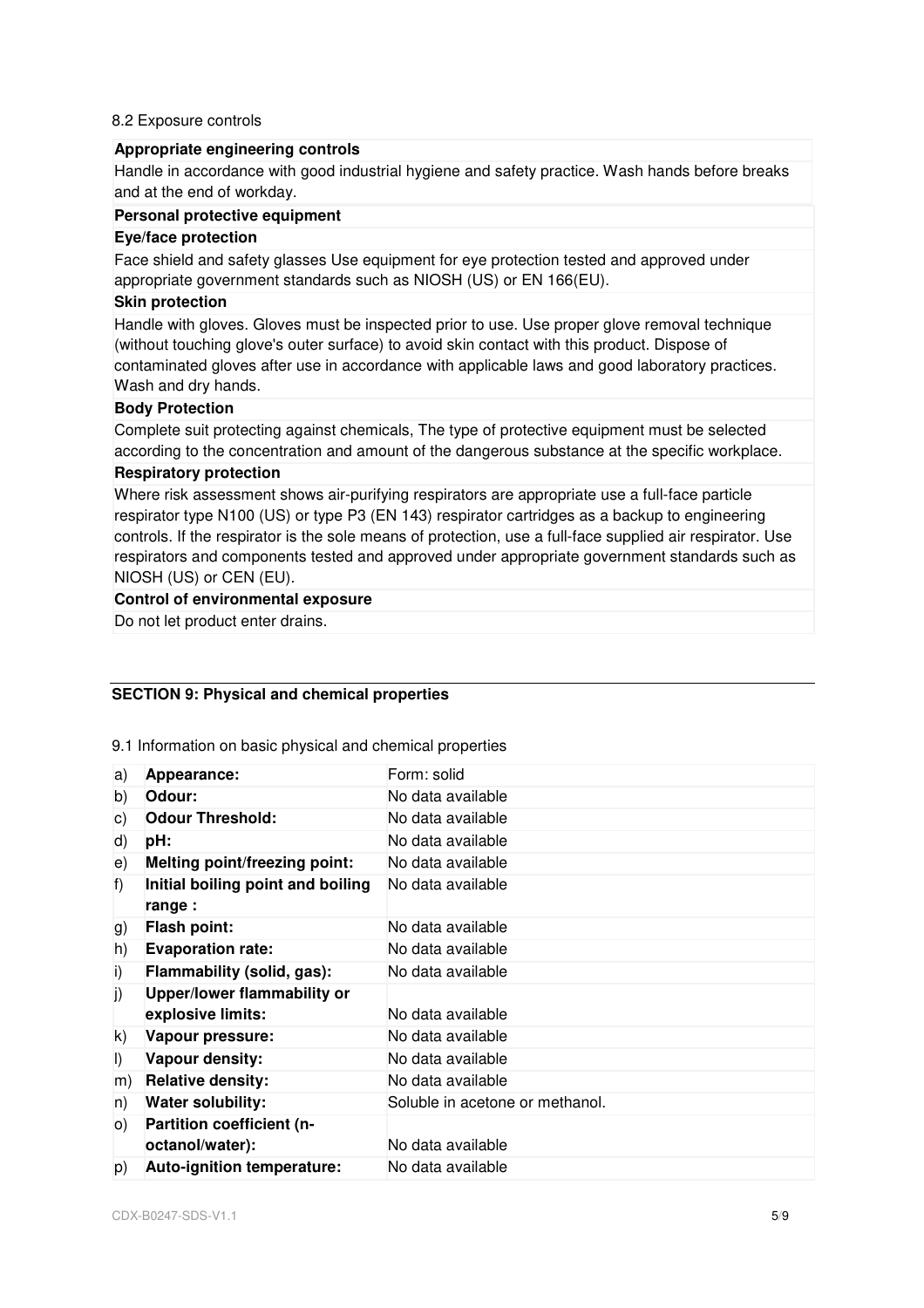#### 8.2 Exposure controls

# **Appropriate engineering controls**

Handle in accordance with good industrial hygiene and safety practice. Wash hands before breaks and at the end of workday.

## **Personal protective equipment**

#### **Eye/face protection**

Face shield and safety glasses Use equipment for eye protection tested and approved under appropriate government standards such as NIOSH (US) or EN 166(EU).

#### **Skin protection**

Handle with gloves. Gloves must be inspected prior to use. Use proper glove removal technique (without touching glove's outer surface) to avoid skin contact with this product. Dispose of contaminated gloves after use in accordance with applicable laws and good laboratory practices. Wash and dry hands.

## **Body Protection**

Complete suit protecting against chemicals, The type of protective equipment must be selected according to the concentration and amount of the dangerous substance at the specific workplace.

## **Respiratory protection**

Where risk assessment shows air-purifying respirators are appropriate use a full-face particle respirator type N100 (US) or type P3 (EN 143) respirator cartridges as a backup to engineering controls. If the respirator is the sole means of protection, use a full-face supplied air respirator. Use respirators and components tested and approved under appropriate government standards such as NIOSH (US) or CEN (EU).

# **Control of environmental exposure**

Do not let product enter drains.

# **SECTION 9: Physical and chemical properties**

9.1 Information on basic physical and chemical properties

| a)      | Appearance:                                  | Form: solid                     |
|---------|----------------------------------------------|---------------------------------|
| b)      | Odour:                                       | No data available               |
| C)      | <b>Odour Threshold:</b>                      | No data available               |
| d)      | pH:                                          | No data available               |
| e)      | <b>Melting point/freezing point:</b>         | No data available               |
| f)      | Initial boiling point and boiling<br>range : | No data available               |
| g)      | <b>Flash point:</b>                          | No data available               |
| h)      | <b>Evaporation rate:</b>                     | No data available               |
| i)      | Flammability (solid, gas):                   | No data available               |
| j)      | Upper/lower flammability or                  |                                 |
|         | explosive limits:                            | No data available               |
| k)      | Vapour pressure:                             | No data available               |
| $\vert$ | Vapour density:                              | No data available               |
| m)      | <b>Relative density:</b>                     | No data available               |
| n)      | <b>Water solubility:</b>                     | Soluble in acetone or methanol. |
| O)      | Partition coefficient (n-                    |                                 |
|         | octanol/water):                              | No data available               |
| p)      | Auto-ignition temperature:                   | No data available               |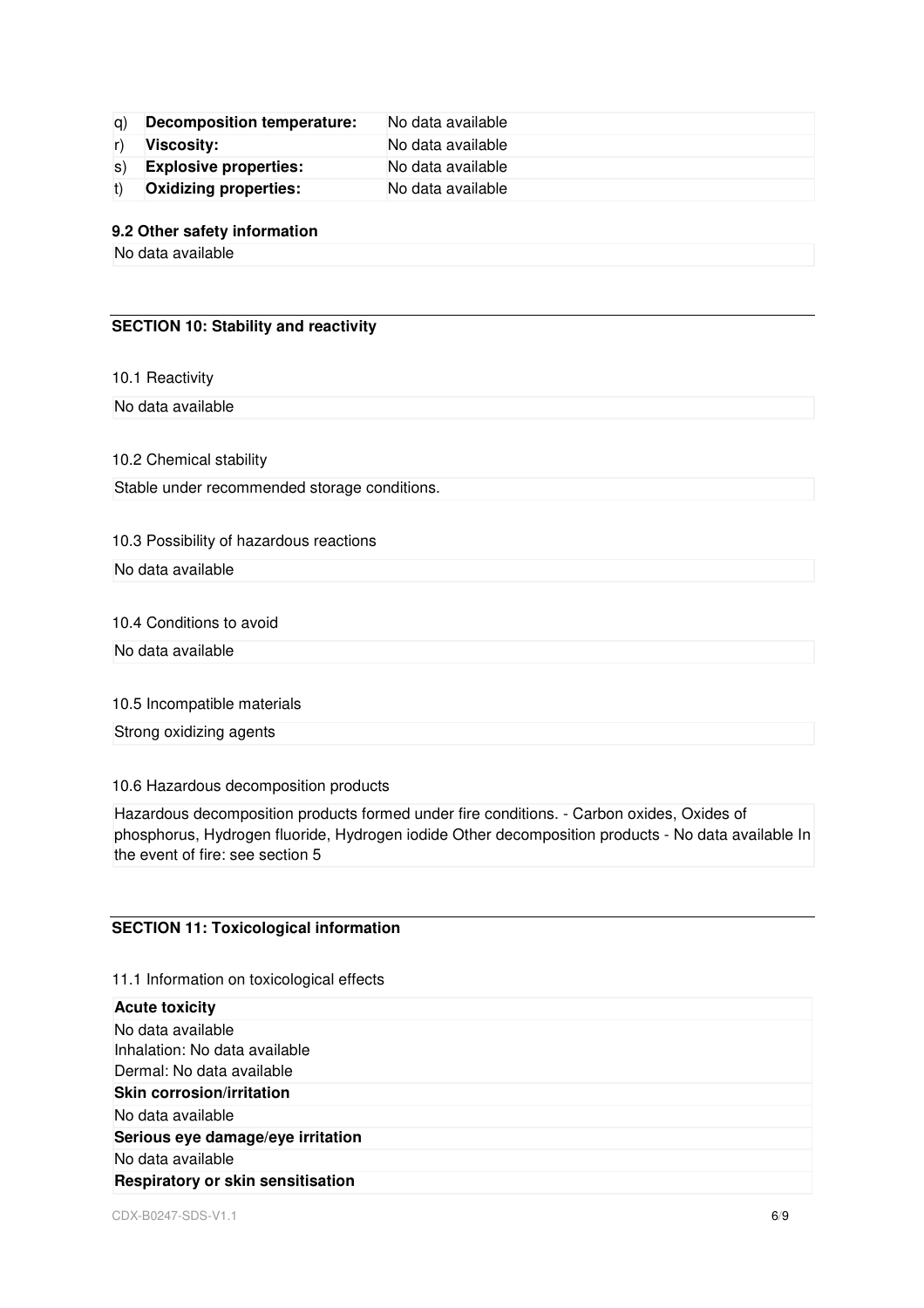| g) | Decomposition temperature:   | No data available |
|----|------------------------------|-------------------|
|    | Viscosity:                   | No data available |
|    | s) Explosive properties:     | No data available |
|    | <b>Oxidizing properties:</b> | No data available |

#### **9.2 Other safety information**

No data available

# **SECTION 10: Stability and reactivity**

10.1 Reactivity

No data available

10.2 Chemical stability

Stable under recommended storage conditions.

# 10.3 Possibility of hazardous reactions

No data available

# 10.4 Conditions to avoid

No data available

## 10.5 Incompatible materials

Strong oxidizing agents

#### 10.6 Hazardous decomposition products

Hazardous decomposition products formed under fire conditions. - Carbon oxides, Oxides of phosphorus, Hydrogen fluoride, Hydrogen iodide Other decomposition products - No data available In the event of fire: see section 5

# **SECTION 11: Toxicological information**

#### 11.1 Information on toxicological effects

| <b>Acute toxicity</b>                    |  |
|------------------------------------------|--|
| No data available                        |  |
| Inhalation: No data available            |  |
| Dermal: No data available                |  |
| Skin corrosion/irritation                |  |
| No data available                        |  |
| Serious eye damage/eye irritation        |  |
| No data available                        |  |
| <b>Respiratory or skin sensitisation</b> |  |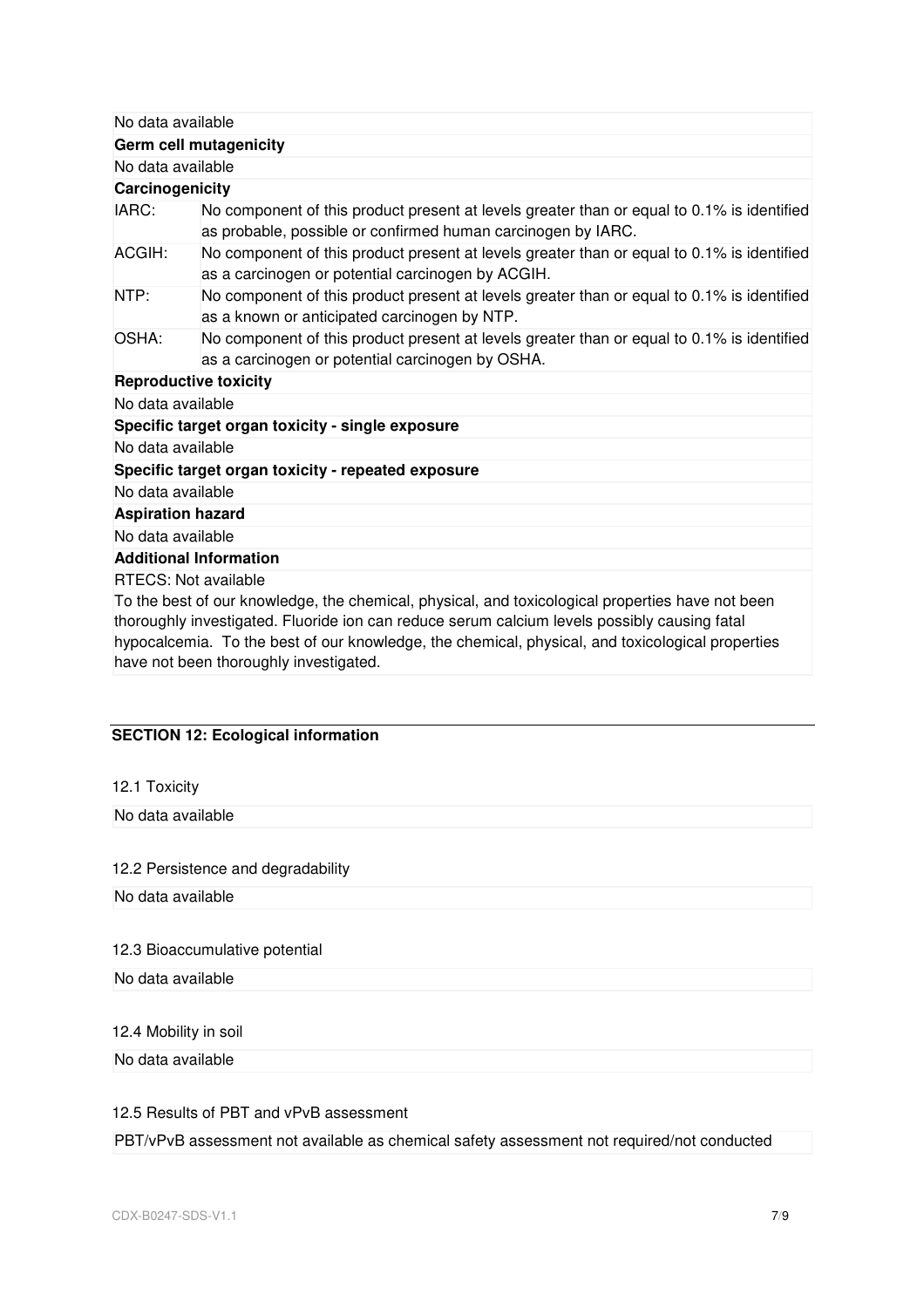No data available

**Germ cell mutagenicity** 

No data available

**Carcinogenicity** 

| IARC:<br>No component of this product present at levels greater than or equal to 0.1% is identified<br>as probable, possible or confirmed human carcinogen by IARC.                                                             |
|---------------------------------------------------------------------------------------------------------------------------------------------------------------------------------------------------------------------------------|
|                                                                                                                                                                                                                                 |
| No component of this product present at levels greater than or equal to 0.1% is identified<br>ACGIH:<br>as a carcinogen or potential carcinogen by ACGIH.                                                                       |
| No component of this product present at levels greater than or equal to 0.1% is identified<br>NTP:<br>as a known or anticipated carcinogen by NTP.                                                                              |
| No component of this product present at levels greater than or equal to 0.1% is identified<br>OSHA:<br>as a carcinogen or potential carcinogen by OSHA.                                                                         |
| <b>Reproductive toxicity</b>                                                                                                                                                                                                    |
| No data available                                                                                                                                                                                                               |
| Specific target organ toxicity - single exposure                                                                                                                                                                                |
| No data available                                                                                                                                                                                                               |
| Specific target organ toxicity - repeated exposure                                                                                                                                                                              |
| No data available                                                                                                                                                                                                               |
| <b>Aspiration hazard</b>                                                                                                                                                                                                        |
| No data available                                                                                                                                                                                                               |
| <b>Additional Information</b>                                                                                                                                                                                                   |
| <b>RTECS: Not available</b><br>To the best of our knowledge, the chemical, physical, and toxicological properties have not been<br>thoroughly investigated. Fluoride ion can reduce serum calcium levels possibly causing fatal |

hypocalcemia. To the best of our knowledge, the chemical, physical, and toxicological properties have not been thoroughly investigated.

# **SECTION 12: Ecological information**

| 12.1 Toxicity                      |  |
|------------------------------------|--|
| No data available                  |  |
|                                    |  |
| 12.2 Persistence and degradability |  |
| No data available                  |  |
|                                    |  |
| 12.3 Bioaccumulative potential     |  |
| No data available                  |  |
|                                    |  |
| 12.4 Mobility in soil              |  |
| No data available                  |  |

12.5 Results of PBT and vPvB assessment

PBT/vPvB assessment not available as chemical safety assessment not required/not conducted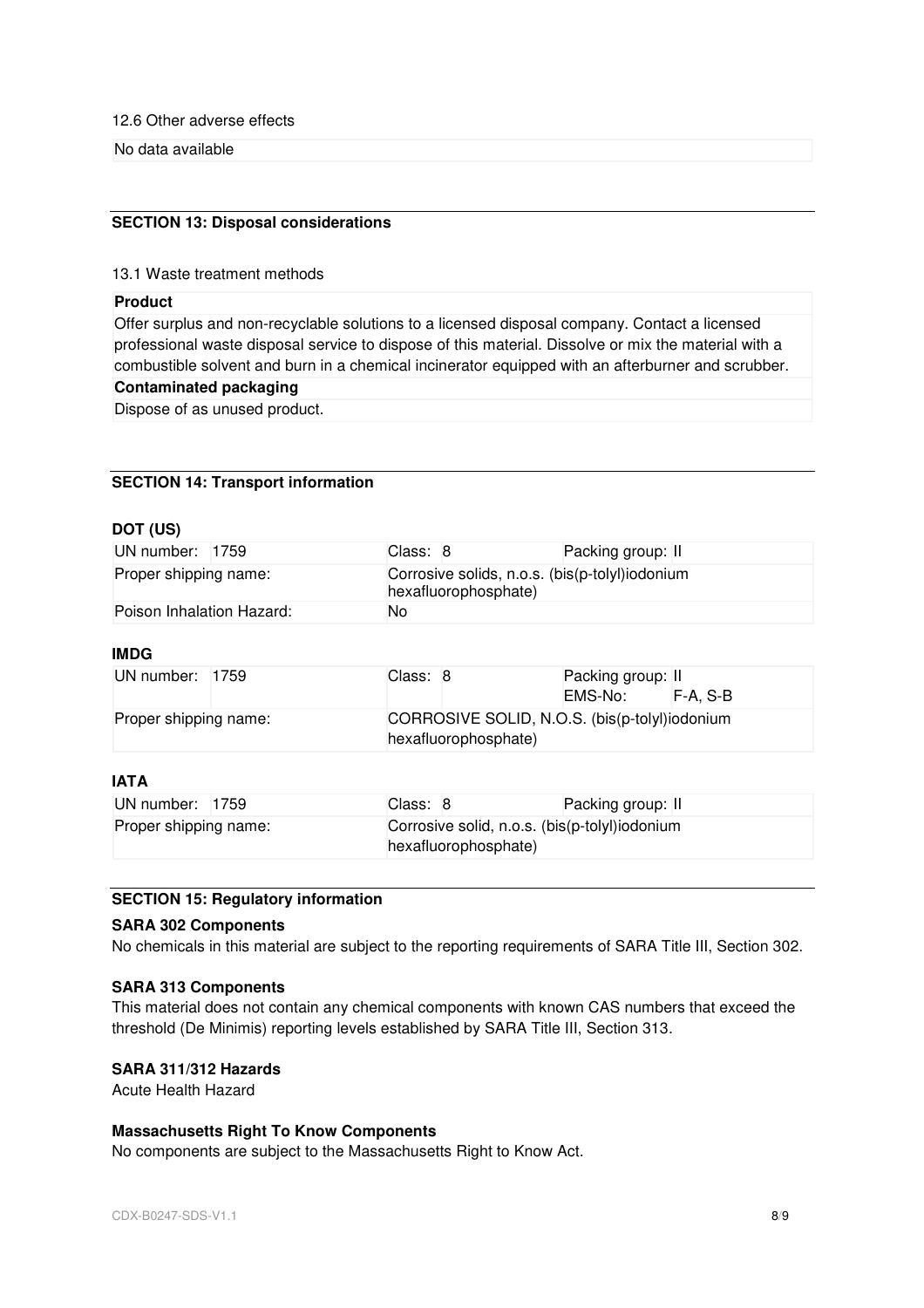12.6 Other adverse effects

No data available

# **SECTION 13: Disposal considerations**

#### 13.1 Waste treatment methods

## **Product**

Offer surplus and non-recyclable solutions to a licensed disposal company. Contact a licensed professional waste disposal service to dispose of this material. Dissolve or mix the material with a combustible solvent and burn in a chemical incinerator equipped with an afterburner and scrubber.

#### **Contaminated packaging**

Dispose of as unused product.

#### **SECTION 14: Transport information**

#### **DOT (US)**

| UN number: 1759           |  | Class: 8                                                               |  | Packing group: II |
|---------------------------|--|------------------------------------------------------------------------|--|-------------------|
| Proper shipping name:     |  | Corrosive solids, n.o.s. (bis(p-tolyl)iodonium<br>hexafluorophosphate) |  |                   |
| Poison Inhalation Hazard: |  | No                                                                     |  |                   |

#### **IMDG**

| UN number: 1759       | Class: 8 |                                                                       | Packing group: II<br>EMS-No: F-A. S-B |  |
|-----------------------|----------|-----------------------------------------------------------------------|---------------------------------------|--|
| Proper shipping name: |          | CORROSIVE SOLID, N.O.S. (bis(p-tolyl)iodonium<br>hexafluorophosphate) |                                       |  |

## **IATA**

| UN number: 1759       | Class: 8 | Packing group: II                                                     |  |  |
|-----------------------|----------|-----------------------------------------------------------------------|--|--|
| Proper shipping name: |          | Corrosive solid, n.o.s. (bis(p-tolyl)iodonium<br>hexafluorophosphate) |  |  |

#### **SECTION 15: Regulatory information**

# **SARA 302 Components**

No chemicals in this material are subject to the reporting requirements of SARA Title III, Section 302.

#### **SARA 313 Components**

This material does not contain any chemical components with known CAS numbers that exceed the threshold (De Minimis) reporting levels established by SARA Title III, Section 313.

# **SARA 311/312 Hazards**

Acute Health Hazard

## **Massachusetts Right To Know Components**

No components are subject to the Massachusetts Right to Know Act.